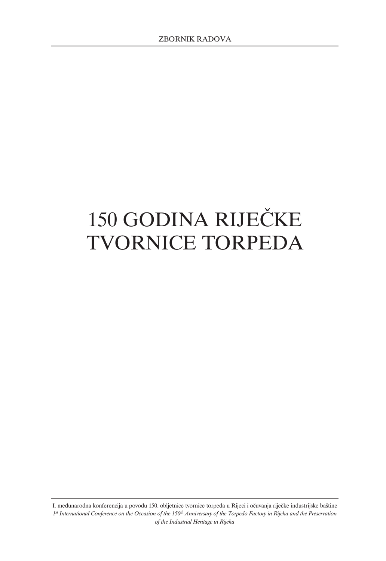# 150 GODINA RIJEČKE TVORNICE TORPEDA

I. međunarodna konferencija u povodu 150. obljetnice tvornice torpeda u Rijeci i očuvanja riječke industrijske baštine *1st International Conference on the Occasion of the 150th Anniversary of the Torpedo Factory in Rijeka and the Preservation of the Industrial Heritage in Rijeka*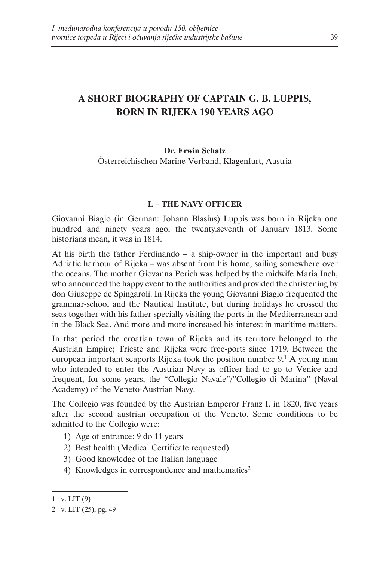# **A SHORT BIOGRAPHY OF CAPTAIN G. B. LUPPIS, BORN IN RIJEKA 190 YEARS AGO**

# **Dr. Erwin Schatz** Österreichischen Marine Verband, Klagenfurt, Austria

## **I. – THE NAVY OFFICER**

Giovanni Biagio (in German: Johann Blasius) Luppis was born in Rijeka one hundred and ninety years ago, the twenty.seventh of January 1813. Some historians mean, it was in 1814.

At his birth the father Ferdinando – a ship-owner in the important and busy Adriatic harbour of Rijeka – was absent from his home, sailing somewhere over the oceans. The mother Giovanna Perich was helped by the midwife Maria Inch, who announced the happy event to the authorities and provided the christening by don Giuseppe de Spingaroli. In Rijeka the young Giovanni Biagio frequented the grammar-school and the Nautical Institute, but during holidays he crossed the seas together with his father specially visiting the ports in the Mediterranean and in the Black Sea. And more and more increased his interest in maritime matters.

In that period the croatian town of Rijeka and its territory belonged to the Austrian Empire; Trieste and Rijeka were free-ports since 1719. Between the european important seaports Rijeka took the position number  $9<sup>1</sup>$  A young man who intended to enter the Austrian Navy as officer had to go to Venice and frequent, for some years, the "Collegio Navale"/"Collegio di Marina" (Naval Academy) of the Veneto-Austrian Navy.

The Collegio was founded by the Austrian Emperor Franz I. in 1820, five years after the second austrian occupation of the Veneto. Some conditions to be admitted to the Collegio were:

- 1) Age of entrance: 9 do 11 years
- 2) Best health (Medical Certificate requested)
- 3) Good knowledge of the Italian language
- 4) Knowledges in correspondence and mathematics<sup>2</sup>

<sup>1</sup> v. LIT $(9)$ 

<sup>2</sup> v. LIT (25), pg. 49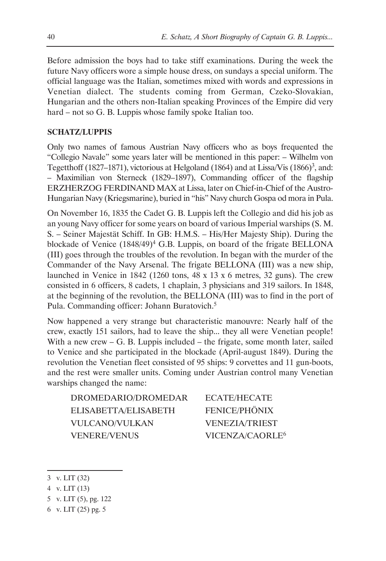Before admission the boys had to take stiff examinations. During the week the future Navy officers wore a simple house dress, on sundays a special uniform. The official language was the Italian, sometimes mixed with words and expressions in Venetian dialect. The students coming from German, Czeko-Slovakian, Hungarian and the others non-Italian speaking Provinces of the Empire did very hard – not so G. B. Luppis whose family spoke Italian too.

# **SCHATZ/LUPPIS**

Only two names of famous Austrian Navy officers who as boys frequented the "Collegio Navale" some years later will be mentioned in this paper: – Wilhelm von Tegetthoff (1827–1871), victorious at Helgoland (1864) and at Lissa/Vis (1866)<sup>3</sup>, and: – Maximilian von Sterneck (1829–1897), Commanding officer of the flagship ERZHERZOG FERDINAND MAX at Lissa, later on Chief-in-Chief of the Austro-Hungarian Navy (Kriegsmarine), buried in "his" Navy church Gospa od mora in Pula.

On November 16, 1835 the Cadet G. B. Luppis left the Collegio and did his job as an young Navy officer for some years on board of various Imperial warships (S. M. S. – Seiner Majestät Schiff. In GB: H.M.S. – His/Her Majesty Ship). During the blockade of Venice (1848/49)<sup>4</sup> G.B. Luppis, on board of the frigate BELLONA (III) goes through the troubles of the revolution. In began with the murder of the Commander of the Navy Arsenal. The frigate BELLONA (III) was a new ship, launched in Venice in 1842 (1260 tons, 48 x 13 x 6 metres, 32 guns). The crew consisted in 6 officers, 8 cadets, 1 chaplain, 3 physicians and 319 sailors. In 1848, at the beginning of the revolution, the BELLONA (III) was to find in the port of Pula. Commanding officer: Johann Buratovich.5

Now happened a very strange but characteristic manouvre: Nearly half of the crew, exactly 151 sailors, had to leave the ship... they all were Venetian people! With a new crew – G. B. Luppis included – the frigate, some month later, sailed to Venice and she participated in the blockade (April-august 1849). During the revolution the Venetian fleet consisted of 95 ships: 9 corvettes and 11 gun-boots, and the rest were smaller units. Coming under Austrian control many Venetian warships changed the name:

| DROMEDARIO/DROMEDAR   | ECATE/HECATE                |
|-----------------------|-----------------------------|
| ELISABETTA/ELISABETH  | FENICE/PHÖNIX               |
| <b>VULCANO/VULKAN</b> | <b>VENEZIA/TRIEST</b>       |
| <b>VENERE/VENUS</b>   | VICENZA/CAORLE <sup>6</sup> |

5 v. LIT (5), pg. 122

<sup>3</sup> v. LIT (32)

<sup>4</sup> v. LIT (13)

<sup>6</sup> v. LIT (25) pg. 5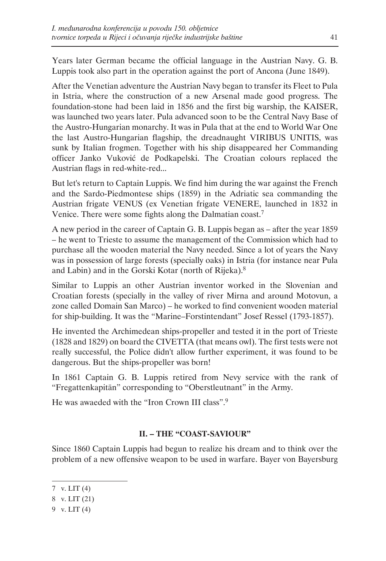Years later German became the official language in the Austrian Navy. G. B. Luppis took also part in the operation against the port of Ancona (June 1849).

After the Venetian adventure the Austrian Navy began to transfer its Fleet to Pula in Istria, where the construction of a new Arsenal made good progress. The foundation-stone had been laid in 1856 and the first big warship, the KAISER, was launched two years later. Pula advanced soon to be the Central Navy Base of the Austro-Hungarian monarchy. It was in Pula that at the end to World War One the last Austro-Hungarian flagship, the dreadnaught VIRIBUS UNITIS, was sunk by Italian frogmen. Together with his ship disappeared her Commanding officer Janko Vuković de Podkapelski. The Croatian colours replaced the Austrian flags in red-white-red...

But let's return to Captain Luppis. We find him during the war against the French and the Sardo-Piedmontese ships (1859) in the Adriatic sea commanding the Austrian frigate VENUS (ex Venetian frigate VENERE, launched in 1832 in Venice. There were some fights along the Dalmatian coast.7

A new period in the career of Captain G. B. Luppis began as – after the year 1859 – he went to Trieste to assume the management of the Commission which had to purchase all the wooden material the Navy needed. Since a lot of years the Navy was in possession of large forests (specially oaks) in Istria (for instance near Pula and Labin) and in the Gorski Kotar (north of Rijeka).8

Similar to Luppis an other Austrian inventor worked in the Slovenian and Croatian forests (specially in the valley of river Mirna and around Motovun, a zone called Domain San Marco) – he worked to find convenient wooden material for ship-building. It was the "Marine–Forstintendant" Josef Ressel (1793-1857).

He invented the Archimedean ships-propeller and tested it in the port of Trieste (1828 and 1829) on board the CIVETTA (that means owl). The first tests were not really successful, the Police didn't allow further experiment, it was found to be dangerous. But the ships-propeller was born!

In 1861 Captain G. B. Luppis retired from Nevy service with the rank of "Fregattenkapitän" corresponding to "Oberstleutnant" in the Army.

He was awaeded with the "Iron Crown III class".9

# **II. – THE "COAST-SAVIOUR"**

Since 1860 Captain Luppis had begun to realize his dream and to think over the problem of a new offensive weapon to be used in warfare. Bayer von Bayersburg

<sup>7</sup> v. LIT (4)

<sup>8</sup> v. LIT (21)

<sup>9</sup> v. LIT (4)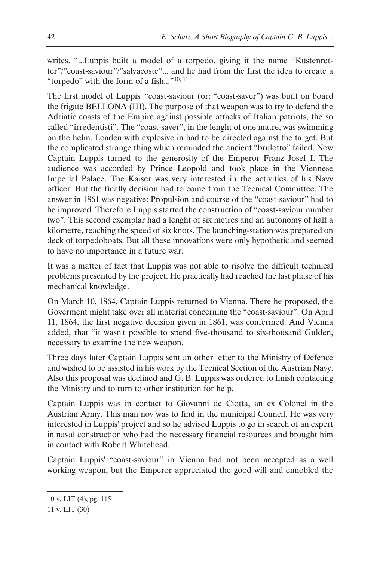writes. "...Luppis built a model of a torpedo, giving it the name "Küstenretter"/"coast-saviour"/"salvacoste"... and he had from the first the idea to create a "torpedo" with the form of a fish..."<sup>10, 11</sup>

The first model of Luppis' "coast-saviour (or: "coast-saver") was built on board the frigate BELLONA (III). The purpose of that weapon was to try to defend the Adriatic coasts of the Empire against possible attacks of Italian patriots, the so called "irredentisti". The "coast-saver", in the lenght of one matre, was swimming on the helm. Loaden with explosive in had to be directed against the target. But the complicated strange thing which reminded the ancient "brulotto" failed. Now Captain Luppis turned to the generosity of the Emperor Franz Josef I. The audience was accorded by Prince Leopold and took place in the Viennese Imperial Palace. The Kaiser was very interested in the activities of his Navy officer. But the finally decision had to come from the Tecnical Committee. The answer in 1861 was negative: Propulsion and course of the "coast-saviour" had to be improved. Therefore Luppis started the construction of "coast-saviour number two". This second exemplar had a lenght of six metres and an autonomy of half a kilometre, reaching the speed of six knots. The launching-station was prepared on deck of torpedoboats. But all these innovations were only hypothetic and seemed to have no importance in a future war.

It was a matter of fact that Luppis was not able to risolve the difficult technical problems presented by the project. He practically had reached the last phase of his mechanical knowledge.

On March 10, 1864, Captain Luppis returned to Vienna. There he proposed, the Goverment might take over all material concerning the "coast-saviour". On April 11, 1864, the first negative decision given in 1861, was confermed. And Vienna added, that "it wasn't possible to spend five-thousand to six-thousand Gulden, necessary to examine the new weapon.

Three days later Captain Luppis sent an other letter to the Ministry of Defence and wished to be assisted in his work by the Tecnical Section of the Austrian Navy. Also this proposal was declined and G. B. Luppis was ordered to finish contacting the Ministry and to turn to other institution for help.

Captain Luppis was in contact to Giovanni de Ciotta, an ex Colonel in the Austrian Army. This man nov was to find in the municipal Council. He was very interested in Luppis' project and so he advised Luppis to go in search of an expert in naval construction who had the necessary financial resources and brought him in contact with Robert Whitehead.

Captain Luppis' "coast-saviour" in Vienna had not been accepted as a well working weapon, but the Emperor appreciated the good will and ennobled the

<sup>10</sup> v. LIT (4), pg. 115

<sup>11</sup> v. LIT (30)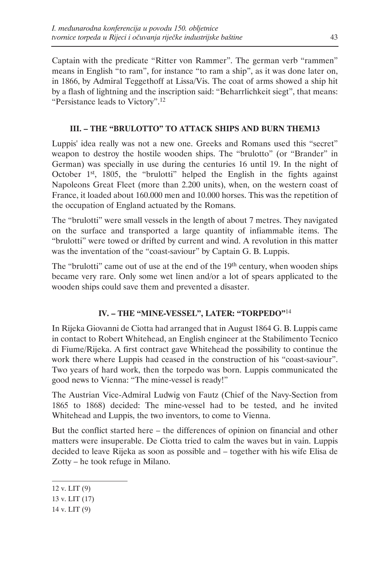Captain with the predicate "Ritter von Rammer". The german verb "rammen" means in English "to ram", for instance "to ram a ship", as it was done later on, in 1866, by Admiral Teggethoff at Lissa/Vis. The coat of arms showed a ship hit by a flash of lightning and the inscription said: "Beharrlichkeit siegt", that means: "Persistance leads to Victory".12

# **III. – THE "BRULOTTO" TO ATTACK SHIPS AND BURN THEM13**

Luppis' idea really was not a new one. Greeks and Romans used this "secret" weapon to destroy the hostile wooden ships. The "brulotto" (or "Brander" in German) was specially in use during the centuries 16 until 19. In the night of October 1st, 1805, the "brulotti" helped the English in the fights against Napoleons Great Fleet (more than 2.200 units), when, on the western coast of France, it loaded about 160.000 men and 10.000 horses. This was the repetition of the occupation of England actuated by the Romans.

The "brulotti" were small vessels in the length of about 7 metres. They navigated on the surface and transported a large quantity of infiammable items. The "brulotti" were towed or drifted by current and wind. A revolution in this matter was the inventation of the "coast-saviour" by Captain G. B. Luppis.

The "brulotti" came out of use at the end of the  $19<sup>th</sup>$  century, when wooden ships became very rare. Only some wet linen and/or a lot of spears applicated to the wooden ships could save them and prevented a disaster.

# **IV. – THE "MINE-VESSEL", LATER: "TORPEDO"**<sup>14</sup>

In Rijeka Giovanni de Ciotta had arranged that in August 1864 G. B. Luppis came in contact to Robert Whitehead, an English engineer at the Stabilimento Tecnico di Fiume/Rijeka. A first contract gave Whitehead the possibility to continue the work there where Luppis had ceased in the construction of his "coast-saviour". Two years of hard work, then the torpedo was born. Luppis communicated the good news to Vienna: "The mine-vessel is ready!"

The Austrian Vice-Admiral Ludwig von Fautz (Chief of the Navy-Section from 1865 to 1868) decided: The mine-vessel had to be tested, and he invited Whitehead and Luppis, the two inventors, to come to Vienna.

But the conflict started here – the differences of opinion on financial and other matters were insuperable. De Ciotta tried to calm the waves but in vain. Luppis decided to leave Rijeka as soon as possible and – together with his wife Elisa de Zotty – he took refuge in Milano.

- 13 v. LIT (17)
- 14 v. LIT (9)

<sup>12</sup> v. LIT (9)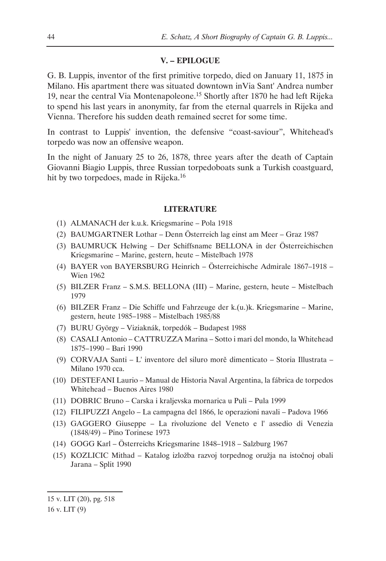#### **V. – EPILOGUE**

G. B. Luppis, inventor of the first primitive torpedo, died on January 11, 1875 in Milano. His apartment there was situated downtown inVia Sant' Andrea number 19, near the central Via Montenapoleone.<sup>15</sup> Shortly after 1870 he had left Rijeka to spend his last years in anonymity, far from the eternal quarrels in Rijeka and Vienna. Therefore his sudden death remained secret for some time.

In contrast to Luppis' invention, the defensive "coast-saviour", Whitehead's torpedo was now an offensive weapon.

In the night of January 25 to 26, 1878, three years after the death of Captain Giovanni Biagio Luppis, three Russian torpedoboats sunk a Turkish coastguard, hit by two torpedoes, made in Rijeka.<sup>16</sup>

#### **LITERATURE**

- (1) ALMANACH der k.u.k. Kriegsmarine Pola 1918
- (2) BAUMGARTNER Lothar Denn Österreich lag einst am Meer Graz 1987
- (3) BAUMRUCK Helwing Der Schiffsname BELLONA in der Österreichischen Kriegsmarine – Marine, gestern, heute – Mistelbach 1978
- (4) BAYER von BAYERSBURG Heinrich Österreichische Admirale 1867–1918 Wien 1962
- (5) BILZER Franz S.M.S. BELLONA (III) Marine, gestern, heute Mistelbach 1979
- (6) BILZER Franz Die Schiffe und Fahrzeuge der k.(u.)k. Kriegsmarine Marine, gestern, heute 1985–1988 – Mistelbach 1985/88
- (7) BURU György Viziaknák, torpedók Budapest 1988
- (8) CASALI Antonio CATTRUZZA Marina Sotto i mari del mondo, la Whitehead 1875–1990 – Bari 1990
- (9) CORVAJA Santi L' inventore del siluro morě dimenticato Storia Illustrata Milano 1970 cca.
- (10) DESTEFANI Laurio Manual de Historia Naval Argentina, la fábrica de torpedos Whitehead – Buenos Aires 1980
- (11) DOBRIC Bruno Carska i kraljevska mornarica u Puli Pula 1999
- (12) FILIPUZZI Angelo La campagna del 1866, le operazioni navali Padova 1966
- (13) GAGGERO Giuseppe La rivoluzione del Veneto e l' assedio di Venezia (1848/49) – Pino Torinese 1973
- (14) GOGG Karl Österreichs Kriegsmarine 1848–1918 Salzburg 1967
- (15) KOZLICIC Mithad Katalog izložba razvoj torpednog oružja na istočnoj obali Jarana – Split 1990

<sup>15</sup> v. LIT (20), pg. 518

<sup>16</sup> v. LIT (9)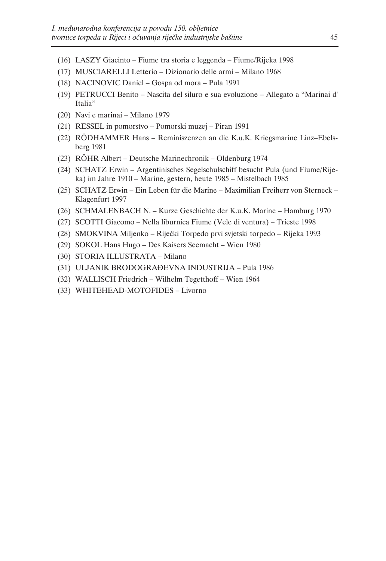- (16) LASZY Giacinto Fiume tra storia e leggenda Fiume/Rijeka 1998
- (17) MUSCIARELLI Letterio Dizionario delle armi Milano 1968
- (18) NACINOVIC Daniel Gospa od mora Pula 1991
- (19) PETRUCCI Benito Nascita del siluro e sua evoluzione Allegato a "Marinai d' Italia"
- (20) Navi e marinai Milano 1979
- (21) RESSEL in pomorstvo Pomorski muzej Piran 1991
- (22) RÖDHAMMER Hans Reminiszenzen an die K.u.K. Kriegsmarine Linz–Ebelsberg 1981
- (23) RÖHR Albert Deutsche Marinechronik Oldenburg 1974
- (24) SCHATZ Erwin Argentinisches Segelschulschiff besucht Pula (und Fiume/Rijeka) im Jahre 1910 – Marine, gestern, heute 1985 – Mistelbach 1985
- (25) SCHATZ Erwin Ein Leben für die Marine Maximilian Freiherr von Sterneck Klagenfurt 1997
- (26) SCHMALENBACH N. Kurze Geschichte der K.u.K. Marine Hamburg 1970
- (27) SCOTTI Giacomo Nella liburnica Fiume (Vele di ventura) Trieste 1998
- (28) SMOKVINA Miljenko Riječki Torpedo prvi svjetski torpedo Rijeka 1993
- (29) SOKOL Hans Hugo Des Kaisers Seemacht Wien 1980
- (30) STORIA ILLUSTRATA Milano
- (31) ULJANIK BRODOGRAĐEVNA INDUSTRIJA Pula 1986
- (32) WALLISCH Friedrich Wilhelm Tegetthoff Wien 1964
- (33) WHITEHEAD-MOTOFIDES Livorno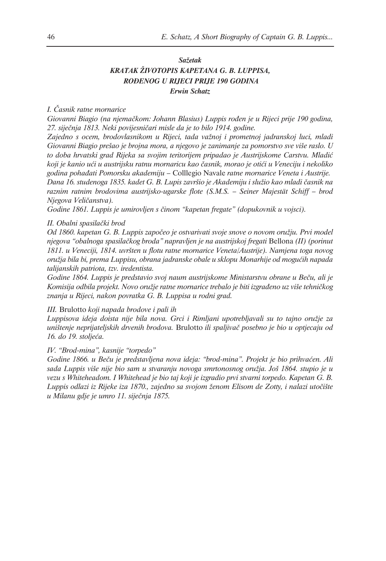# *Sažetak KRATAK ŽIVOTOPIS KAPETANA G. B. LUPPISA, ROĐENOG U RIJECI PRIJE 190 GODINA Erwin Schatz*

#### *I. Časnik ratne mornarice*

*Giovanni Biagio (na njemačkom: Johann Blasius) Luppis rođen je u Rijeci prije 190 godina, 27. siječnja 1813. Neki povijesničari misle da je to bilo 1914. godine.*

*Zajedno s ocem, brodovlasnikom u Rijeci, tada važnoj i prometnoj jadranskoj luci, mladi Giovanni Biagio prešao je brojna mora, a njegovo je zanimanje za pomorstvo sve više raslo. U to doba hrvatski grad Rijeka sa svojim teritorijem pripadao je Austrijskome Carstvu. Mladić koji je kanio ući u austrijsku ratnu mornaricu kao časnik, morao je otići u Veneciju i nekoliko godina pohađati Pomorsku akademiju –* Colllegio Navale *ratne mornarice Veneta i Austrije. Dana 16. studenoga 1835. kadet G. B. Lupis završio je Akademiju i služio kao mladi časnik na raznim ratnim brodovima austrijsko-ugarske flote (S.M.S. – Seiner Majestät Schiff – brod Njegova Veličanstva).*

*Godine 1861. Luppis je umirovljen s činom "kapetan fregate" (dopukovnik u vojsci).*

#### *II. Obalni spasilački brod*

*Od 1860. kapetan G. B. Luppis započeo je ostvarivati svoje snove o novom oružju. Prvi model njegova "obalnoga spasilačkog broda" napravljen je na austrijskoj fregati* Bellona *(II) (porinut 1811. u Veneciji, 1814. uvršten u flotu ratne mornarice Veneta/Austrije). Namjena toga novog oružja bila bi, prema Luppisu, obrana jadranske obale u sklopu Monarhije od mogućih napada talijanskih patriota, tzv. iredentista.* 

*Godine 1864. Luppis je predstavio svoj naum austrijskome Ministarstvu obrane u Beču, ali je Komisija odbila projekt. Novo oružje ratne mornarice trebalo je biti izgrađeno uz više tehničkog znanja u Rijeci, nakon povratka G. B. Luppisa u rodni grad.*

#### *III.* Brulotto *koji napada brodove i pali ih*

*Luppisova ideja doista nije bila nova. Grci i Rimljani upotrebljavali su to tajno oružje za uništenje neprijateljskih drvenih brodova.* Brulotto *ili spaljivač posebno je bio u optjecaju od 16. do 19. stoljeća.*

#### *IV. "Brod-mina", kasnije "torpedo"*

*Godine 1866. u Beču je predstavljena nova ideja: "brod-mina". Projekt je bio prihvaćen. Ali sada Luppis više nije bio sam u stvaranju novoga smrtonosnog oružja. Još 1864. stupio je u vezu s Whiteheadom. I Whitehead je bio taj koji je izgradio prvi stvarni torpedo. Kapetan G. B. Luppis odlazi iz Rijeke iza 1870., zajedno sa svojom ženom Elisom de Zotty, i nalazi utočište u Milanu gdje je umro 11. siječnja 1875.*